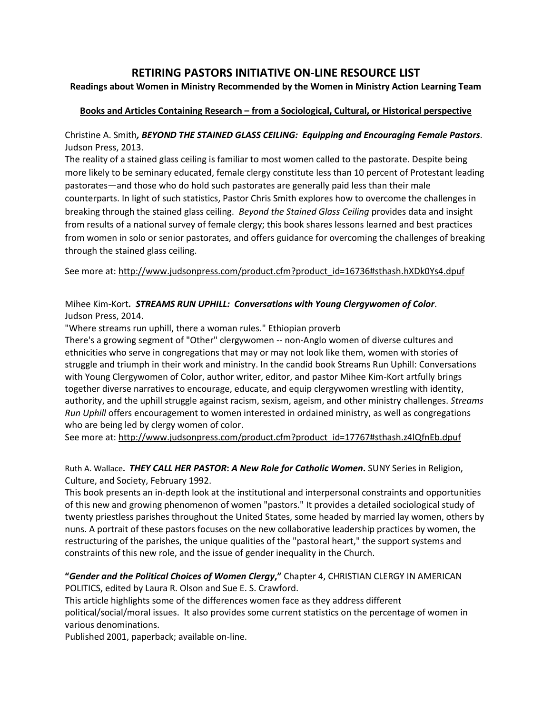# **RETIRING PASTORS INITIATIVE ON-LINE RESOURCE LIST**

#### **Readings about Women in Ministry Recommended by the Women in Ministry Action Learning Team**

#### **Books and Articles Containing Research – from a Sociological, Cultural, or Historical perspective**

Christine A. Smith*, BEYOND THE STAINED GLASS CEILING: Equipping and Encouraging Female Pastors.* Judson Press, 2013.

The reality of a stained glass ceiling is familiar to most women called to the pastorate. Despite being more likely to be seminary educated, female clergy constitute less than 10 percent of Protestant leading pastorates—and those who do hold such pastorates are generally paid less than their male counterparts. In light of such statistics, Pastor Chris Smith explores how to overcome the challenges in breaking through the stained glass ceiling. *Beyond the Stained Glass Ceiling* provides data and insight from results of a national survey of female clergy; this book shares lessons learned and best practices from women in solo or senior pastorates, and offers guidance for overcoming the challenges of breaking through the stained glass ceiling.

See more at: [http://www.judsonpress.com/product.cfm?product\\_id=16736#sthash.hXDk0Ys4.dpuf](http://www.judsonpress.com/product.cfm?product_id=16736#sthash.hXDk0Ys4.dpuf)

# Mihee Kim-Kort*. STREAMS RUN UPHILL: Conversations with Young Clergywomen of Color*. Judson Press, 2014.

"Where streams run uphill, there a woman rules." Ethiopian proverb

There's a growing segment of "Other" clergywomen -- non-Anglo women of diverse cultures and ethnicities who serve in congregations that may or may not look like them, women with stories of struggle and triumph in their work and ministry. In the candid book Streams Run Uphill: Conversations with Young Clergywomen of Color, author writer, editor, and pastor Mihee Kim-Kort artfully brings together diverse narratives to encourage, educate, and equip clergywomen wrestling with identity, authority, and the uphill struggle against racism, sexism, ageism, and other ministry challenges. *Streams Run Uphill* offers encouragement to women interested in ordained ministry, as well as congregations who are being led by clergy women of color.

See more at: http://www.judsonpress.com/product.cfm?product\_id=17767#sthash.z4lQfnEb.dpuf

Ruth A. Wallace**.** *THEY CALL HER PASTOR***:** *A New Role for Catholic Women***.** SUNY Series in Religion, Culture, and Society, February 1992.

This book presents an in-depth look at the institutional and interpersonal constraints and opportunities of this new and growing phenomenon of women "pastors." It provides a detailed sociological study of twenty priestless parishes throughout the United States, some headed by married lay women, others by nuns. A portrait of these pastors focuses on the new collaborative leadership practices by women, the restructuring of the parishes, the unique qualities of the "pastoral heart," the support systems and constraints of this new role, and the issue of gender inequality in the Church.

**"***Gender and the Political Choices of Women Clergy***,"** Chapter 4, CHRISTIAN CLERGY IN AMERICAN POLITICS, edited by Laura R. Olson and Sue E. S. Crawford.

This article highlights some of the differences women face as they address different political/social/moral issues. It also provides some current statistics on the percentage of women in various denominations.

Published 2001, paperback; available on-line.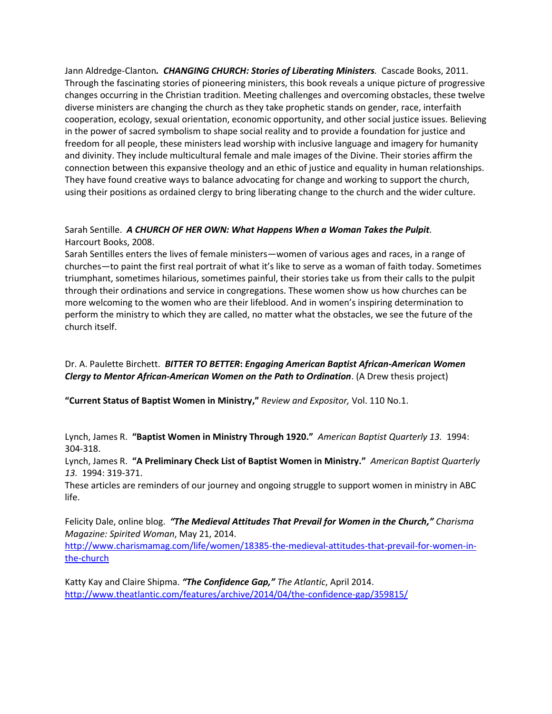Jann Aldredge-Clanton*. CHANGING CHURCH: Stories of Liberating Ministers.* Cascade Books, 2011. Through the fascinating stories of pioneering ministers, this book reveals a unique picture of progressive changes occurring in the Christian tradition. Meeting challenges and overcoming obstacles, these twelve diverse ministers are changing the church as they take prophetic stands on gender, race, interfaith cooperation, ecology, sexual orientation, economic opportunity, and other social justice issues. Believing in the power of sacred symbolism to shape social reality and to provide a foundation for justice and freedom for all people, these ministers lead worship with inclusive language and imagery for humanity and divinity. They include multicultural female and male images of the Divine. Their stories affirm the connection between this expansive theology and an ethic of justice and equality in human relationships. They have found creative ways to balance advocating for change and working to support the church, using their positions as ordained clergy to bring liberating change to the church and the wider culture.

#### Sarah Sentille. *A CHURCH OF HER OWN: What Happens When a Woman Takes the Pulpit.*  Harcourt Books, 2008.

Sarah Sentilles enters the lives of female ministers—women of various ages and races, in a range of churches—to paint the first real portrait of what it's like to serve as a woman of faith today. Sometimes triumphant, sometimes hilarious, sometimes painful, their stories take us from their calls to the pulpit through their ordinations and service in congregations. These women show us how churches can be more welcoming to the women who are their lifeblood. And in women's inspiring determination to perform the ministry to which they are called, no matter what the obstacles, we see the future of the church itself.

# Dr. A. Paulette Birchett. *BITTER TO BETTER***:** *Engaging American Baptist African-American Women Clergy to Mentor African-American Women on the Path to Ordination*. (A Drew thesis project)

**"Current Status of Baptist Women in Ministry,"** *Review and Expositor,* Vol. 110 No.1.

Lynch, James R. **"Baptist Women in Ministry Through 1920."** *American Baptist Quarterly 13.* 1994: 304-318.

Lynch, James R. **"A Preliminary Check List of Baptist Women in Ministry."** *American Baptist Quarterly 13.* 1994: 319-371.

These articles are reminders of our journey and ongoing struggle to support women in ministry in ABC life.

Felicity Dale, online blog. *"[The Medieval Attitudes That Prevail for Women in the Church](http://www.charismamag.com/life/women/18385-the-medieval-attitudes-that-prevail-for-women-in-the-church)," Charisma Magazine: Spirited Woman*, May 21, 2014.

[http://www.charismamag.com/life/women/18385-the-medieval-attitudes-that-prevail-for-women-in](http://www.charismamag.com/life/women/18385-the-medieval-attitudes-that-prevail-for-women-in-the-church)[the-church](http://www.charismamag.com/life/women/18385-the-medieval-attitudes-that-prevail-for-women-in-the-church)

Katty Kay and Claire Shipma. *"The Confidence Gap," The Atlantic*, April 2014. <http://www.theatlantic.com/features/archive/2014/04/the-confidence-gap/359815/>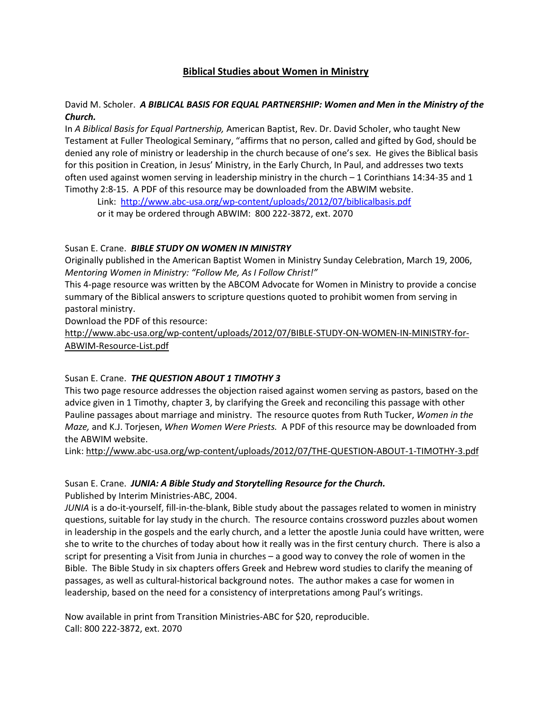# **Biblical Studies about Women in Ministry**

#### David M. Scholer. *A BIBLICAL BASIS FOR EQUAL PARTNERSHIP: Women and Men in the Ministry of the Church.*

In *A Biblical Basis for Equal Partnership,* American Baptist, Rev. Dr. David Scholer, who taught New Testament at Fuller Theological Seminary, "affirms that no person, called and gifted by God, should be denied any role of ministry or leadership in the church because of one's sex. He gives the Biblical basis for this position in Creation, in Jesus' Ministry, in the Early Church, In Paul, and addresses two texts often used against women serving in leadership ministry in the church – 1 Corinthians 14:34-35 and 1 Timothy 2:8-15. A PDF of this resource may be downloaded from the ABWIM website.

Link: <http://www.abc-usa.org/wp-content/uploads/2012/07/biblicalbasis.pdf>

or it may be ordered through ABWIM: 800 222-3872, ext. 2070

# Susan E. Crane. *BIBLE STUDY ON WOMEN IN MINISTRY*

Originally published in the American Baptist Women in Ministry Sunday Celebration, March 19, 2006, *Mentoring Women in Ministry: "Follow Me, As I Follow Christ!"*

This 4-page resource was written by the ABCOM Advocate for Women in Ministry to provide a concise summary of the Biblical answers to scripture questions quoted to prohibit women from serving in pastoral ministry.

Download the PDF of this resource:

[http://www.abc-usa.org/wp-content/uploads/2012/07/BIBLE-STUDY-ON-WOMEN-IN-MINISTRY-for-](http://www.abc-usa.org/wp-content/uploads/2012/07/BIBLE-STUDY-ON-WOMEN-IN-MINISTRY-for-ABWIM-Resource-List.pdf)[ABWIM-Resource-List.pdf](http://www.abc-usa.org/wp-content/uploads/2012/07/BIBLE-STUDY-ON-WOMEN-IN-MINISTRY-for-ABWIM-Resource-List.pdf)

# Susan E. Crane. *THE QUESTION ABOUT 1 TIMOTHY 3*

This two page resource addresses the objection raised against women serving as pastors, based on the advice given in 1 Timothy, chapter 3, by clarifying the Greek and reconciling this passage with other Pauline passages about marriage and ministry. The resource quotes from Ruth Tucker, *Women in the Maze,* and K.J. Torjesen, *When Women Were Priests.* A PDF of this resource may be downloaded from the ABWIM website.

Link:<http://www.abc-usa.org/wp-content/uploads/2012/07/THE-QUESTION-ABOUT-1-TIMOTHY-3.pdf>

# Susan E. Crane. *JUNIA: A Bible Study and Storytelling Resource for the Church.*

Published by Interim Ministries-ABC, 2004.

*JUNIA* is a do-it-yourself, fill-in-the-blank, Bible study about the passages related to women in ministry questions, suitable for lay study in the church. The resource contains crossword puzzles about women in leadership in the gospels and the early church, and a letter the apostle Junia could have written, were she to write to the churches of today about how it really was in the first century church. There is also a script for presenting a Visit from Junia in churches – a good way to convey the role of women in the Bible. The Bible Study in six chapters offers Greek and Hebrew word studies to clarify the meaning of passages, as well as cultural-historical background notes. The author makes a case for women in leadership, based on the need for a consistency of interpretations among Paul's writings.

Now available in print from Transition Ministries-ABC for \$20, reproducible. Call: 800 222-3872, ext. 2070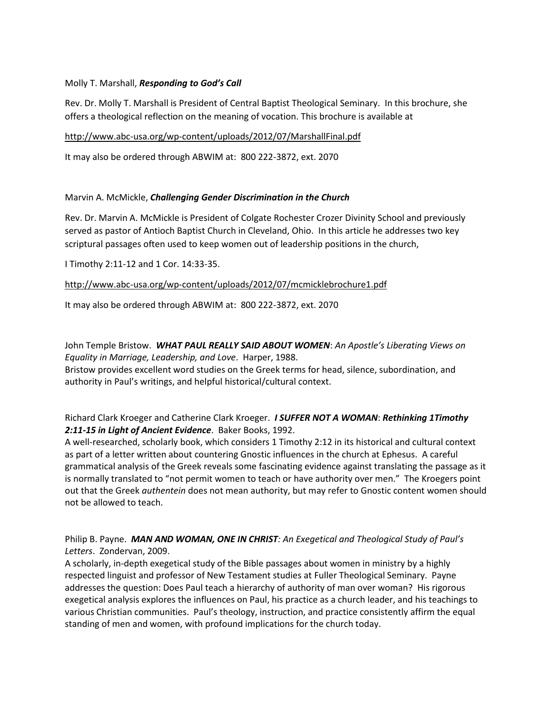#### Molly T. Marshall, *Responding to God's Call*

Rev. Dr. Molly T. Marshall is President of Central Baptist Theological Seminary. In this brochure, she offers a theological reflection on the meaning of vocation. This brochure is available at

<http://www.abc-usa.org/wp-content/uploads/2012/07/MarshallFinal.pdf>

It may also be ordered through ABWIM at: 800 222-3872, ext. 2070

#### Marvin A. McMickle, *Challenging Gender Discrimination in the Church*

Rev. Dr. Marvin A. McMickle is President of Colgate Rochester Crozer Divinity School and previously served as pastor of Antioch Baptist Church in Cleveland, Ohio. In this article he addresses two key scriptural passages often used to keep women out of leadership positions in the church,

I Timothy 2:11-12 and 1 Cor. 14:33-35.

<http://www.abc-usa.org/wp-content/uploads/2012/07/mcmicklebrochure1.pdf>

It may also be ordered through ABWIM at: 800 222-3872, ext. 2070

John Temple Bristow. *WHAT PAUL REALLY SAID ABOUT WOMEN*: *An Apostle's Liberating Views on Equality in Marriage, Leadership, and Love*. Harper, 1988. Bristow provides excellent word studies on the Greek terms for head, silence, subordination, and authority in Paul's writings, and helpful historical/cultural context.

#### Richard Clark Kroeger and Catherine Clark Kroeger. *I SUFFER NOT A WOMAN*: *Rethinking 1Timothy 2:11-15 in Light of Ancient Evidence*. Baker Books, 1992.

A well-researched, scholarly book, which considers 1 Timothy 2:12 in its historical and cultural context as part of a letter written about countering Gnostic influences in the church at Ephesus. A careful grammatical analysis of the Greek reveals some fascinating evidence against translating the passage as it is normally translated to "not permit women to teach or have authority over men." The Kroegers point out that the Greek *authentein* does not mean authority, but may refer to Gnostic content women should not be allowed to teach.

Philip B. Payne. *MAN AND WOMAN, ONE IN CHRIST: An Exegetical and Theological Study of Paul's Letters*. Zondervan, 2009.

A scholarly, in-depth exegetical study of the Bible passages about women in ministry by a highly respected linguist and professor of New Testament studies at Fuller Theological Seminary. Payne addresses the question: Does Paul teach a hierarchy of authority of man over woman? His rigorous exegetical analysis explores the influences on Paul, his practice as a church leader, and his teachings to various Christian communities. Paul's theology, instruction, and practice consistently affirm the equal standing of men and women, with profound implications for the church today.